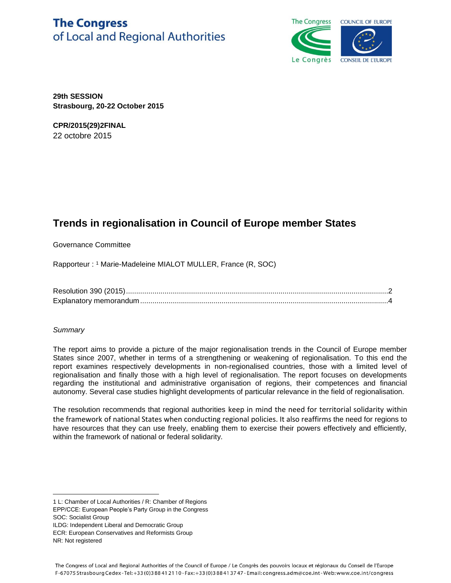# **The Congress** of Local and Regional Authorities



**29th SESSION Strasbourg, 20-22 October 2015**

**CPR/2015(29)2FINAL** 22 octobre 2015

## **Trends in regionalisation in Council of Europe member States**

Governance Committee

Rapporteur : <sup>1</sup> Marie-Madeleine MIALOT MULLER, France (R, SOC)

Resolution 390 (2015).................................................................................................................................2 Explanatory memorandum..........................................................................................................................4

## *Summary*

The report aims to provide a picture of the major regionalisation trends in the Council of Europe member States since 2007, whether in terms of a strengthening or weakening of regionalisation. To this end the report examines respectively developments in non-regionalised countries, those with a limited level of regionalisation and finally those with a high level of regionalisation. The report focuses on developments regarding the institutional and administrative organisation of regions, their competences and financial autonomy. Several case studies highlight developments of particular relevance in the field of regionalisation.

The resolution recommends that regional authorities keep in mind the need for territorial solidarity within the framework of national States when conducting regional policies. It also reaffirms the need for regions to have resources that they can use freely, enabling them to exercise their powers effectively and efficiently, within the framework of national or federal solidarity.

SOC: Socialist Group

 $\overline{a}$ 

ILDG: Independent Liberal and Democratic Group

<sup>1</sup> L: Chamber of Local Authorities / R: Chamber of Regions

EPP/CCE: European People's Party Group in the Congress

ECR: European Conservatives and Reformists Group

NR: Not registered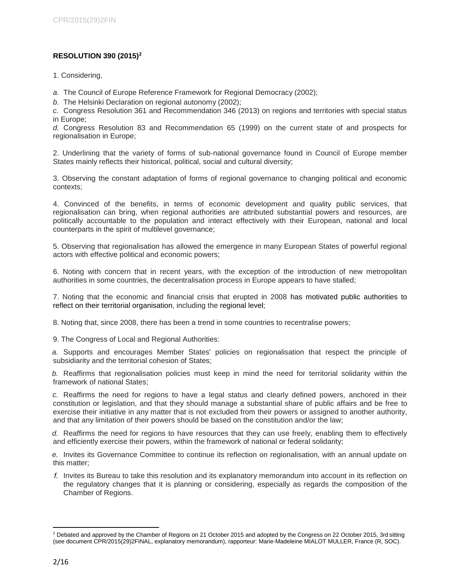## **RESOLUTION 390 (2015)<sup>2</sup>**

1. Considering,

*a.* The Council of Europe Reference Framework for Regional Democracy (2002);

*b.* The Helsinki Declaration on regional autonomy (2002);

*c.* Congress Resolution 361 and Recommendation 346 (2013) on regions and territories with special status in Europe;

*d.* Congress Resolution 83 and Recommendation 65 (1999) on the current state of and prospects for regionalisation in Europe;

2. Underlining that the variety of forms of sub-national governance found in Council of Europe member States mainly reflects their historical, political, social and cultural diversity;

3. Observing the constant adaptation of forms of regional governance to changing political and economic contexts;

4. Convinced of the benefits, in terms of economic development and quality public services, that regionalisation can bring, when regional authorities are attributed substantial powers and resources, are politically accountable to the population and interact effectively with their European, national and local counterparts in the spirit of multilevel governance;

5. Observing that regionalisation has allowed the emergence in many European States of powerful regional actors with effective political and economic powers;

6. Noting with concern that in recent years, with the exception of the introduction of new metropolitan authorities in some countries, the decentralisation process in Europe appears to have stalled;

7. Noting that the economic and financial crisis that erupted in 2008 has motivated public authorities to reflect on their territorial organisation, including the regional level;

8. Noting that, since 2008, there has been a trend in some countries to recentralise powers;

9. The Congress of Local and Regional Authorities:

*a.* Supports and encourages Member States' policies on regionalisation that respect the principle of subsidiarity and the territorial cohesion of States;

*b.* Reaffirms that regionalisation policies must keep in mind the need for territorial solidarity within the framework of national States;

*c.* Reaffirms the need for regions to have a legal status and clearly defined powers, anchored in their constitution or legislation, and that they should manage a substantial share of public affairs and be free to exercise their initiative in any matter that is not excluded from their powers or assigned to another authority, and that any limitation of their powers should be based on the constitution and/or the law;

*d.* Reaffirms the need for regions to have resources that they can use freely, enabling them to effectively and efficiently exercise their powers, within the framework of national or federal solidarity;

*e.* Invites its Governance Committee to continue its reflection on regionalisation, with an annual update on this matter;

*f.* Invites its Bureau to take this resolution and its explanatory memorandum into account in its reflection on the regulatory changes that it is planning or considering, especially as regards the composition of the Chamber of Regions.

l <sup>2</sup> Debated and approved by the Chamber of Regions on 21 October 2015 and adopted by the Congress on 22 October 2015, 3rd sitting (see document CPR/2015(29)2FINAL, explanatory memorandum), rapporteur: Marie-Madeleine MIALOT MULLER, France (R, SOC).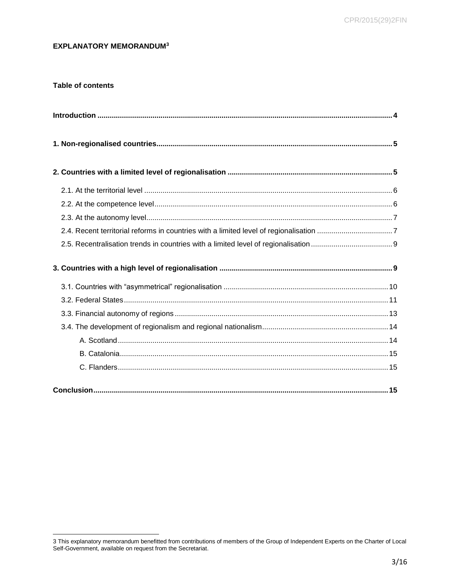## **EXPLANATORY MEMORANDUM3**

## **Table of contents**

<sup>3</sup> This explanatory memorandum benefitted from contributions of members of the Group of Independent Experts on the Charter of Local Self-Government, available on request from the Secretariat.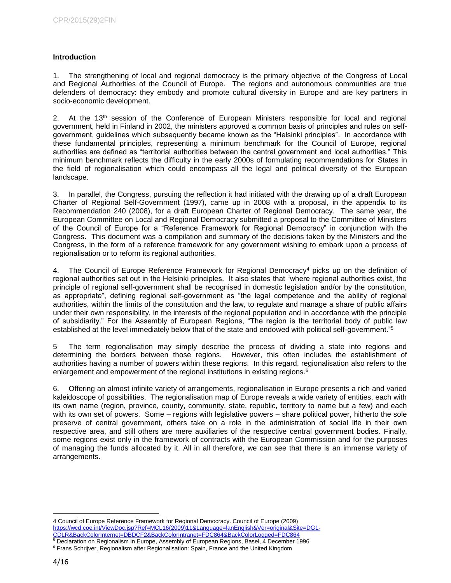## <span id="page-3-0"></span>**Introduction**

1. The strengthening of local and regional democracy is the primary objective of the Congress of Local and Regional Authorities of the Council of Europe. The regions and autonomous communities are true defenders of democracy: they embody and promote cultural diversity in Europe and are key partners in socio-economic development.

2. At the 13<sup>th</sup> session of the Conference of European Ministers responsible for local and regional government, held in Finland in 2002, the ministers approved a common basis of principles and rules on selfgovernment, guidelines which subsequently became known as the "Helsinki principles". In accordance with these fundamental principles, representing a minimum benchmark for the Council of Europe, regional authorities are defined as "territorial authorities between the central government and local authorities." This minimum benchmark reflects the difficulty in the early 2000s of formulating recommendations for States in the field of regionalisation which could encompass all the legal and political diversity of the European landscape.

3. In parallel, the Congress, pursuing the reflection it had initiated with the drawing up of a draft European Charter of Regional Self-Government (1997), came up in 2008 with a proposal, in the appendix to its Recommendation 240 (2008), for a draft European Charter of Regional Democracy. The same year, the European Committee on Local and Regional Democracy submitted a proposal to the Committee of Ministers of the Council of Europe for a "Reference Framework for Regional Democracy" in conjunction with the Congress. This document was a compilation and summary of the decisions taken by the Ministers and the Congress, in the form of a reference framework for any government wishing to embark upon a process of regionalisation or to reform its regional authorities.

4. The Council of Europe Reference Framework for Regional Democracy<sup>4</sup> picks up on the definition of regional authorities set out in the Helsinki principles. It also states that "where regional authorities exist, the principle of regional self-government shall be recognised in domestic legislation and/or by the constitution, as appropriate", defining regional self-government as "the legal competence and the ability of regional authorities, within the limits of the constitution and the law, to regulate and manage a share of public affairs under their own responsibility, in the interests of the regional population and in accordance with the principle of subsidiarity." For the Assembly of European Regions, "The region is the territorial body of public law established at the level immediately below that of the state and endowed with political self-government."<sup>5</sup>

5 The term regionalisation may simply describe the process of dividing a state into regions and determining the borders between those regions. However, this often includes the establishment of authorities having a number of powers within these regions. In this regard, regionalisation also refers to the enlargement and empowerment of the regional institutions in existing regions.<sup>6</sup>

6. Offering an almost infinite variety of arrangements, regionalisation in Europe presents a rich and varied kaleidoscope of possibilities. The regionalisation map of Europe reveals a wide variety of entities, each with its own name (region, province, county, community, state, republic, territory to name but a few) and each with its own set of powers. Some – regions with legislative powers – share political power, hitherto the sole preserve of central government, others take on a role in the administration of social life in their own respective area, and still others are mere auxiliaries of the respective central government bodies. Finally, some regions exist only in the framework of contracts with the European Commission and for the purposes of managing the funds allocated by it. All in all therefore, we can see that there is an immense variety of arrangements.

 $\overline{a}$ 4 Council of Europe Reference Framework for Regional Democracy. Council of Europe (2009) [https://wcd.coe.int/ViewDoc.jsp?Ref=MCL16\(2009\)11&Language=lanEnglish&Ver=original&Site=DG1-](https://wcd.coe.int/ViewDoc.jsp?Ref=MCL16(2009)11&Language=lanEnglish&Ver=original&Site=DG1-CDLR&BackColorInternet=DBDCF2&BackColorIntranet=FDC864&BackColorLogged=FDC864) [CDLR&BackColorInternet=DBDCF2&BackColorIntranet=FDC864&BackColorLogged=FDC864](https://wcd.coe.int/ViewDoc.jsp?Ref=MCL16(2009)11&Language=lanEnglish&Ver=original&Site=DG1-CDLR&BackColorInternet=DBDCF2&BackColorIntranet=FDC864&BackColorLogged=FDC864)

<sup>5</sup> Declaration on Regionalism in Europe, Assembly of European Regions, Basel, 4 December 1996

<sup>&</sup>lt;sup>6</sup> Frans Schrijver, Regionalism after Regionalisation: Spain, France and the United Kingdom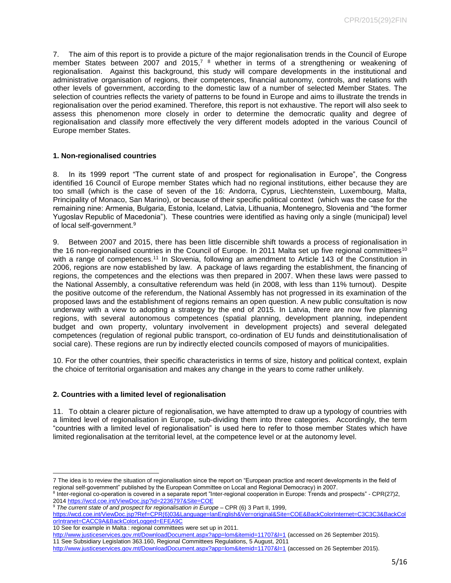7. The aim of this report is to provide a picture of the major regionalisation trends in the Council of Europe member States between 2007 and 2015,<sup>7</sup> <sup>8</sup> whether in terms of a strengthening or weakening of regionalisation. Against this background, this study will compare developments in the institutional and administrative organisation of regions, their competences, financial autonomy, controls, and relations with other levels of government, according to the domestic law of a number of selected Member States. The selection of countries reflects the variety of patterns to be found in Europe and aims to illustrate the trends in regionalisation over the period examined. Therefore, this report is not exhaustive. The report will also seek to assess this phenomenon more closely in order to determine the democratic quality and degree of regionalisation and classify more effectively the very different models adopted in the various Council of Europe member States.

#### <span id="page-4-0"></span>**1. Non-regionalised countries**

8. In its 1999 report "The current state of and prospect for regionalisation in Europe", the Congress identified 16 Council of Europe member States which had no regional institutions, either because they are too small (which is the case of seven of the 16: Andorra, Cyprus, Liechtenstein, Luxembourg, Malta, Principality of Monaco, San Marino), or because of their specific political context (which was the case for the remaining nine: Armenia, Bulgaria, Estonia, Iceland, Latvia, Lithuania, Montenegro, Slovenia and "the former Yugoslav Republic of Macedonia"). These countries were identified as having only a single (municipal) level of local self-government.<sup>9</sup>

9. Between 2007 and 2015, there has been little discernible shift towards a process of regionalisation in the 16 non-regionalised countries in the Council of Europe. In 2011 Malta set up five regional committees<sup>10</sup> with a range of competences.<sup>11</sup> In Slovenia, following an amendment to Article 143 of the Constitution in 2006, regions are now established by law. A package of laws regarding the establishment, the financing of regions, the competences and the elections was then prepared in 2007. When these laws were passed to the National Assembly, a consultative referendum was held (in 2008, with less than 11% turnout). Despite the positive outcome of the referendum, the National Assembly has not progressed in its examination of the proposed laws and the establishment of regions remains an open question. A new public consultation is now underway with a view to adopting a strategy by the end of 2015. In Latvia, there are now five planning regions, with several autonomous competences (spatial planning, development planning, independent budget and own property, voluntary involvement in development projects) and several delegated competences (regulation of regional public transport, co-ordination of EU funds and deinstitutionalisation of social care). These regions are run by indirectly elected councils composed of mayors of municipalities.

10. For the other countries, their specific characteristics in terms of size, history and political context, explain the choice of territorial organisation and makes any change in the years to come rather unlikely.

#### <span id="page-4-1"></span>**2. Countries with a limited level of regionalisation**

 $\overline{\phantom{a}}$ 

11. To obtain a clearer picture of regionalisation, we have attempted to draw up a typology of countries with a limited level of regionalisation in Europe, sub-dividing them into three categories. Accordingly, the term "countries with a limited level of regionalisation" is used here to refer to those member States which have limited regionalisation at the territorial level, at the competence level or at the autonomy level.

<sup>7</sup> The idea is to review the situation of regionalisation since the report on "European practice and recent developments in the field of regional self-government" published by the European Committee on Local and Regional Democracy) in 2007.

<sup>&</sup>lt;sup>8</sup> Inter-regional co-operation is covered in a separate report "Inter-regional cooperation in Europe: Trends and prospects" - CPR(27)2, 2014<https://wcd.coe.int/ViewDoc.jsp?id=2236797&Site=COE>

<sup>&</sup>lt;sup>9</sup> *The current state of and prospect for regionalisation in Europe* – CPR (6) 3 Part II, 1999,

[https://wcd.coe.int/ViewDoc.jsp?Ref=CPR\(6\)03&Language=lanEnglish&Ver=original&Site=COE&BackColorInternet=C3C3C3&BackCol](https://wcd.coe.int/ViewDoc.jsp?Ref=CPR(6)03&Language=lanEnglish&Ver=original&Site=COE&BackColorInternet=C3C3C3&BackColorIntranet=CACC9A&BackColorLogged=EFEA9C) [orIntranet=CACC9A&BackColorLogged=EFEA9C](https://wcd.coe.int/ViewDoc.jsp?Ref=CPR(6)03&Language=lanEnglish&Ver=original&Site=COE&BackColorInternet=C3C3C3&BackColorIntranet=CACC9A&BackColorLogged=EFEA9C)

<sup>10</sup> See for example in Malta : regional committees were set up in 2011.

<http://www.justiceservices.gov.mt/DownloadDocument.aspx?app=lom&itemid=11707&l=1> (accessed on 26 September 2015). 11 See Subsidiary Legislation 363.160, Regional Committees Regulations, 5 August, 2011

<http://www.justiceservices.gov.mt/DownloadDocument.aspx?app=lom&itemid=11707&l=1> (accessed on 26 September 2015).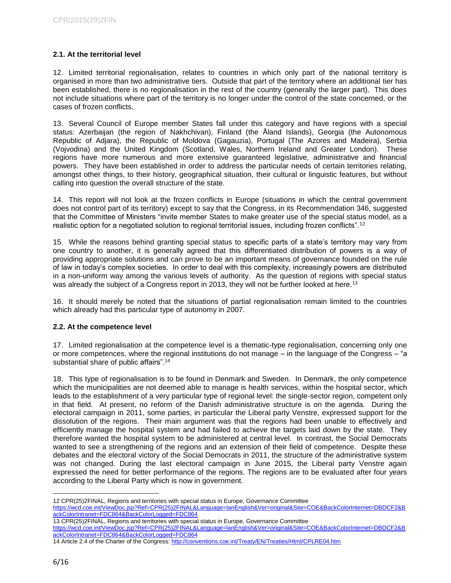## <span id="page-5-0"></span>**2.1. At the territorial level**

12. Limited territorial regionalisation, relates to countries in which only part of the national territory is organised in more than two administrative tiers. Outside that part of the territory where an additional tier has been established, there is no regionalisation in the rest of the country (generally the larger part). This does not include situations where part of the territory is no longer under the control of the state concerned, or the cases of frozen conflicts.

13. Several Council of Europe member States fall under this category and have regions with a special status: Azerbaijan (the region of Nakhchivan), Finland (the Åland Islands), Georgia (the Autonomous Republic of Adjara), the Republic of Moldova (Gagauzia), Portugal (The Azores and Madeira), Serbia (Vojvodina) and the United Kingdom (Scotland, Wales, Northern Ireland and Greater London). These regions have more numerous and more extensive guaranteed legislative, administrative and financial powers. They have been established in order to address the particular needs of certain territories relating, amongst other things, to their history, geographical situation, their cultural or linguistic features, but without calling into question the overall structure of the state.

14. This report will not look at the frozen conflicts in Europe (situations in which the central government does not control part of its territory) except to say that the Congress, in its Recommendation 346, suggested that the Committee of Ministers "invite member States to make greater use of the special status model, as a realistic option for a negotiated solution to regional territorial issues, including frozen conflicts".<sup>12</sup>

15. While the reasons behind granting special status to specific parts of a state's territory may vary from one country to another, it is generally agreed that this differentiated distribution of powers is a way of providing appropriate solutions and can prove to be an important means of governance founded on the rule of law in today's complex societies. In order to deal with this complexity, increasingly powers are distributed in a non-uniform way among the various levels of authority. As the question of regions with special status was already the subject of a Congress report in 2013, they will not be further looked at here.<sup>13</sup>

16. It should merely be noted that the situations of partial regionalisation remain limited to the countries which already had this particular type of autonomy in 2007.

#### <span id="page-5-1"></span>**2.2. At the competence level**

17. Limited regionalisation at the competence level is a thematic-type regionalisation, concerning only one or more competences, where the regional institutions do not manage – in the language of the Congress – "a substantial share of public affairs".<sup>14</sup>

18. This type of regionalisation is to be found in Denmark and Sweden. In Denmark, the only competence which the municipalities are not deemed able to manage is health services, within the hospital sector, which leads to the establishment of a very particular type of regional level: the single-sector region, competent only in that field. At present, no reform of the Danish administrative structure is on the agenda. During the electoral campaign in 2011, some parties, in particular the Liberal party Venstre, expressed support for the dissolution of the regions. Their main argument was that the regions had been unable to effectively and efficiently manage the hospital system and had failed to achieve the targets laid down by the state. They therefore wanted the hospital system to be administered at central level. In contrast, the Social Democrats wanted to see a strengthening of the regions and an extension of their field of competence. Despite these debates and the electoral victory of the Social Democrats in 2011, the structure of the administrative system was not changed. During the last electoral campaign in June 2015, the Liberal party Venstre again expressed the need for better performance of the regions. The regions are to be evaluated after four years according to the Liberal Party which is now in government.

12 CPR(25)2FINAL, Regions and territories with special status in Europe, Governance Committee

[https://wcd.coe.int/ViewDoc.jsp?Ref=CPR\(25\)2FINAL&Language=lanEnglish&Ver=original&Site=COE&BackColorInternet=DBDCF2&B](https://wcd.coe.int/ViewDoc.jsp?Ref=CPR(25)2FINAL&Language=lanEnglish&Ver=original&Site=COE&BackColorInternet=DBDCF2&BackColorIntranet=FDC864&BackColorLogged=FDC864) [ackColorIntranet=FDC864&BackColorLogged=FDC864](https://wcd.coe.int/ViewDoc.jsp?Ref=CPR(25)2FINAL&Language=lanEnglish&Ver=original&Site=COE&BackColorInternet=DBDCF2&BackColorIntranet=FDC864&BackColorLogged=FDC864)

13 CPR(25)2FINAL, Regions and territories with special status in Europe, Governance Committee

[https://wcd.coe.int/ViewDoc.jsp?Ref=CPR\(25\)2FINAL&Language=lanEnglish&Ver=original&Site=COE&BackColorInternet=DBDCF2&B](https://wcd.coe.int/ViewDoc.jsp?Ref=CPR(25)2FINAL&Language=lanEnglish&Ver=original&Site=COE&BackColorInternet=DBDCF2&BackColorIntranet=FDC864&BackColorLogged=FDC864) [ackColorIntranet=FDC864&BackColorLogged=FDC864](https://wcd.coe.int/ViewDoc.jsp?Ref=CPR(25)2FINAL&Language=lanEnglish&Ver=original&Site=COE&BackColorInternet=DBDCF2&BackColorIntranet=FDC864&BackColorLogged=FDC864)

 $\overline{\phantom{a}}$ 

<sup>14</sup> Article 2.4 of the Charter of the Congress:<http://conventions.coe.int/Treaty/EN/Treaties/Html/CPLRE04.htm>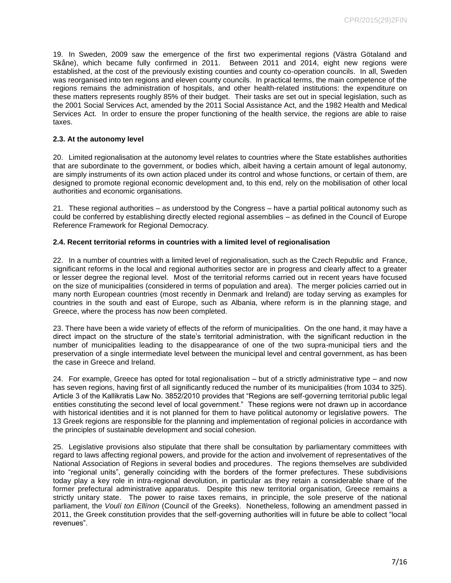19. In Sweden, 2009 saw the emergence of the first two experimental regions (Västra Götaland and Skåne), which became fully confirmed in 2011. Between 2011 and 2014, eight new regions were established, at the cost of the previously existing counties and county co-operation councils. In all, Sweden was reorganised into ten regions and eleven county councils. In practical terms, the main competence of the regions remains the administration of hospitals, and other health-related institutions: the expenditure on these matters represents roughly 85% of their budget. Their tasks are set out in special legislation, such as the 2001 Social Services Act, amended by the 2011 Social Assistance Act, and the 1982 Health and Medical Services Act. In order to ensure the proper functioning of the health service, the regions are able to raise taxes.

#### <span id="page-6-0"></span>**2.3. At the autonomy level**

20. Limited regionalisation at the autonomy level relates to countries where the State establishes authorities that are subordinate to the government, or bodies which, albeit having a certain amount of legal autonomy, are simply instruments of its own action placed under its control and whose functions, or certain of them, are designed to promote regional economic development and, to this end, rely on the mobilisation of other local authorities and economic organisations.

21. These regional authorities – as understood by the Congress – have a partial political autonomy such as could be conferred by establishing directly elected regional assemblies – as defined in the Council of Europe Reference Framework for Regional Democracy.

#### <span id="page-6-1"></span>**2.4. Recent territorial reforms in countries with a limited level of regionalisation**

22. In a number of countries with a limited level of regionalisation, such as the Czech Republic and France, significant reforms in the local and regional authorities sector are in progress and clearly affect to a greater or lesser degree the regional level. Most of the territorial reforms carried out in recent years have focused on the size of municipalities (considered in terms of population and area). The merger policies carried out in many north European countries (most recently in Denmark and Ireland) are today serving as examples for countries in the south and east of Europe, such as Albania, where reform is in the planning stage, and Greece, where the process has now been completed.

23. There have been a wide variety of effects of the reform of municipalities. On the one hand, it may have a direct impact on the structure of the state's territorial administration, with the significant reduction in the number of municipalities leading to the disappearance of one of the two supra-municipal tiers and the preservation of a single intermediate level between the municipal level and central government, as has been the case in Greece and Ireland.

24. For example, Greece has opted for total regionalisation – but of a strictly administrative type – and now has seven regions, having first of all significantly reduced the number of its municipalities (from 1034 to 325). Article 3 of the Kallikratis Law No. 3852/2010 provides that "Regions are self-governing territorial public legal entities constituting the second level of local government." These regions were not drawn up in accordance with historical identities and it is not planned for them to have political autonomy or legislative powers. The 13 Greek regions are responsible for the planning and implementation of regional policies in accordance with the principles of sustainable development and social cohesion.

25. Legislative provisions also stipulate that there shall be consultation by parliamentary committees with regard to laws affecting regional powers, and provide for the action and involvement of representatives of the National Association of Regions in several bodies and procedures. The regions themselves are subdivided into "regional units", generally coinciding with the borders of the former prefectures. These subdivisions today play a key role in intra-regional devolution, in particular as they retain a considerable share of the former prefectural administrative apparatus. Despite this new territorial organisation, Greece remains a strictly unitary state. The power to raise taxes remains, in principle, the sole preserve of the national parliament, the *Voulí ton Ellínon* (Council of the Greeks). Nonetheless, following an amendment passed in 2011, the Greek constitution provides that the self-governing authorities will in future be able to collect "local revenues".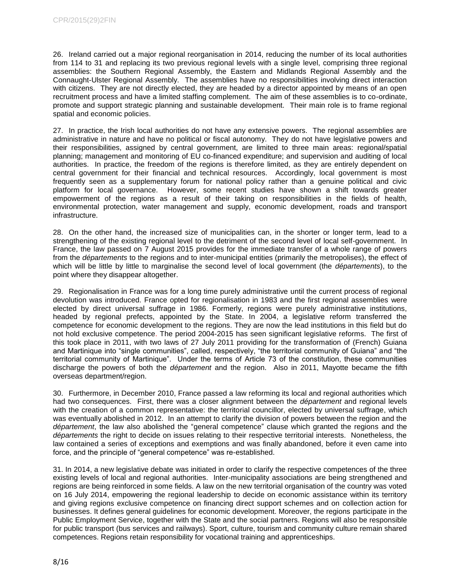26. Ireland carried out a major regional reorganisation in 2014, reducing the number of its local authorities from 114 to 31 and replacing its two previous regional levels with a single level, comprising three regional assemblies: the Southern Regional Assembly, the Eastern and Midlands Regional Assembly and the Connaught-Ulster Regional Assembly. The assemblies have no responsibilities involving direct interaction with citizens. They are not directly elected, they are headed by a director appointed by means of an open recruitment process and have a limited staffing complement. The aim of these assemblies is to co-ordinate, promote and support strategic planning and sustainable development. Their main role is to frame regional spatial and economic policies.

27. In practice, the Irish local authorities do not have any extensive powers. The regional assemblies are administrative in nature and have no political or fiscal autonomy. They do not have legislative powers and their responsibilities, assigned by central government, are limited to three main areas: regional/spatial planning; management and monitoring of EU co-financed expenditure; and supervision and auditing of local authorities. In practice, the freedom of the regions is therefore limited, as they are entirely dependent on central government for their financial and technical resources. Accordingly, local government is most frequently seen as a supplementary forum for national policy rather than a genuine political and civic platform for local governance. However, some recent studies have shown a shift towards greater empowerment of the regions as a result of their taking on responsibilities in the fields of health, environmental protection, water management and supply, economic development, roads and transport infrastructure.

28. On the other hand, the increased size of municipalities can, in the shorter or longer term, lead to a strengthening of the existing regional level to the detriment of the second level of local self-government. In France, the law passed on 7 August 2015 provides for the immediate transfer of a whole range of powers from the *départements* to the regions and to inter-municipal entities (primarily the metropolises), the effect of which will be little by little to marginalise the second level of local government (the *départements*), to the point where they disappear altogether.

29. Regionalisation in France was for a long time purely administrative until the current process of regional devolution was introduced. France opted for regionalisation in 1983 and the first regional assemblies were elected by direct universal suffrage in 1986. Formerly, regions were purely administrative institutions, headed by regional prefects, appointed by the State. In 2004, a legislative reform transferred the competence for economic development to the regions. They are now the lead institutions in this field but do not hold exclusive competence. The period 2004-2015 has seen significant legislative reforms. The first of this took place in 2011, with two laws of 27 July 2011 providing for the transformation of (French) Guiana and Martinique into "single communities", called, respectively, "the territorial community of Guiana" and "the territorial community of Martinique". Under the terms of Article 73 of the constitution, these communities discharge the powers of both the *département* and the region. Also in 2011, Mayotte became the fifth overseas department/region.

30. Furthermore, in December 2010, France passed a law reforming its local and regional authorities which had two consequences. First, there was a closer alignment between the *département* and regional levels with the creation of a common representative: the territorial councillor, elected by universal suffrage, which was eventually abolished in 2012. In an attempt to clarify the division of powers between the region and the *département*, the law also abolished the "general competence" clause which granted the regions and the *départements* the right to decide on issues relating to their respective territorial interests. Nonetheless, the law contained a series of exceptions and exemptions and was finally abandoned, before it even came into force, and the principle of "general competence" was re-established.

31. In 2014, a new legislative debate was initiated in order to clarify the respective competences of the three existing levels of local and regional authorities. Inter-municipality associations are being strengthened and regions are being reinforced in some fields. A law on the new territorial organisation of the country was voted on 16 July 2014, empowering the regional leadership to decide on economic assistance within its territory and giving regions exclusive competence on financing direct support schemes and on collection action for businesses. It defines general guidelines for economic development. Moreover, the regions participate in the Public Employment Service, together with the State and the social partners. Regions will also be responsible for public transport (bus services and railways). Sport, culture, tourism and community culture remain shared competences. Regions retain responsibility for vocational training and apprenticeships.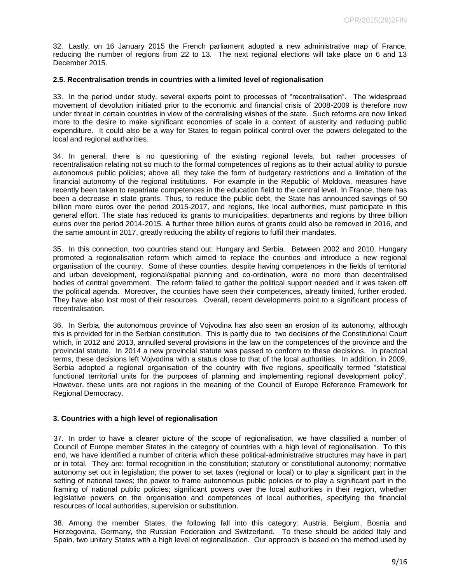32. Lastly, on 16 January 2015 the French parliament adopted a new administrative map of France, reducing the number of regions from 22 to 13. The next regional elections will take place on 6 and 13 December 2015.

#### <span id="page-8-0"></span>**2.5. Recentralisation trends in countries with a limited level of regionalisation**

33. In the period under study, several experts point to processes of "recentralisation". The widespread movement of devolution initiated prior to the economic and financial crisis of 2008-2009 is therefore now under threat in certain countries in view of the centralising wishes of the state. Such reforms are now linked more to the desire to make significant economies of scale in a context of austerity and reducing public expenditure. It could also be a way for States to regain political control over the powers delegated to the local and regional authorities.

34. In general, there is no questioning of the existing regional levels, but rather processes of recentralisation relating not so much to the formal competences of regions as to their actual ability to pursue autonomous public policies; above all, they take the form of budgetary restrictions and a limitation of the financial autonomy of the regional institutions. For example in the Republic of Moldova, measures have recently been taken to repatriate competences in the education field to the central level. In France, there has been a decrease in state grants. Thus, to reduce the public debt, the State has announced savings of 50 billion more euros over the period 2015-2017, and regions, like local authorities, must participate in this general effort. The state has reduced its grants to municipalities, departments and regions by three billion euros over the period 2014-2015. A further three billion euros of grants could also be removed in 2016, and the same amount in 2017, greatly reducing the ability of regions to fulfil their mandates.

35. In this connection, two countries stand out: Hungary and Serbia. Between 2002 and 2010, Hungary promoted a regionalisation reform which aimed to replace the counties and introduce a new regional organisation of the country. Some of these counties, despite having competences in the fields of territorial and urban development, regional/spatial planning and co-ordination, were no more than decentralised bodies of central government. The reform failed to gather the political support needed and it was taken off the political agenda. Moreover, the counties have seen their competences, already limited, further eroded. They have also lost most of their resources. Overall, recent developments point to a significant process of recentralisation.

36. In Serbia, the autonomous province of Vojvodina has also seen an erosion of its autonomy, although this is provided for in the Serbian constitution. This is partly due to two decisions of the Constitutional Court which, in 2012 and 2013, annulled several provisions in the law on the competences of the province and the provincial statute. In 2014 a new provincial statute was passed to conform to these decisions. In practical terms, these decisions left Vojvodina with a status close to that of the local authorities. In addition, in 2009, Serbia adopted a regional organisation of the country with five regions, specifically termed "statistical functional territorial units for the purposes of planning and implementing regional development policy". However, these units are not regions in the meaning of the Council of Europe Reference Framework for Regional Democracy.

#### <span id="page-8-1"></span>**3. Countries with a high level of regionalisation**

37. In order to have a clearer picture of the scope of regionalisation, we have classified a number of Council of Europe member States in the category of countries with a high level of regionalisation. To this end, we have identified a number of criteria which these political-administrative structures may have in part or in total. They are: formal recognition in the constitution; statutory or constitutional autonomy; normative autonomy set out in legislation; the power to set taxes (regional or local) or to play a significant part in the setting of national taxes; the power to frame autonomous public policies or to play a significant part in the framing of national public policies; significant powers over the local authorities in their region, whether legislative powers on the organisation and competences of local authorities, specifying the financial resources of local authorities, supervision or substitution.

38. Among the member States, the following fall into this category: Austria, Belgium, Bosnia and Herzegovina, Germany, the Russian Federation and Switzerland. To these should be added Italy and Spain, two unitary States with a high level of regionalisation. Our approach is based on the method used by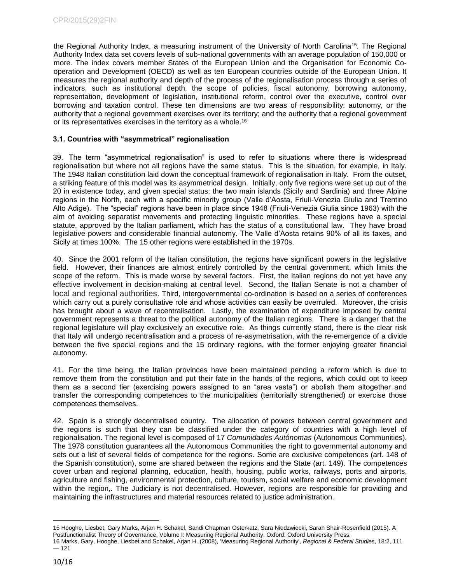the Regional Authority Index, a measuring instrument of the University of North Carolina<sup>15</sup>. The Regional Authority Index data set covers levels of sub-national governments with an average population of 150,000 or more. The index covers member States of the European Union and the Organisation for Economic Cooperation and Development (OECD) as well as ten European countries outside of the European Union. It measures the regional authority and depth of the process of the regionalisation process through a series of indicators, such as institutional depth, the scope of policies, fiscal autonomy, borrowing autonomy, representation, development of legislation, institutional reform, control over the executive, control over borrowing and taxation control. These ten dimensions are two areas of responsibility: autonomy, or the authority that a regional government exercises over its territory; and the authority that a regional government or its representatives exercises in the territory as a whole.<sup>16</sup>

#### <span id="page-9-0"></span>**3.1. Countries with "asymmetrical" regionalisation**

39. The term "asymmetrical regionalisation" is used to refer to situations where there is widespread regionalisation but where not all regions have the same status. This is the situation, for example, in Italy. The 1948 Italian constitution laid down the conceptual framework of regionalisation in Italy. From the outset, a striking feature of this model was its asymmetrical design. Initially, only five regions were set up out of the 20 in existence today, and given special status: the two main islands (Sicily and Sardinia) and three Alpine regions in the North, each with a specific minority group (Valle d'Aosta, Friuli-Venezia Giulia and Trentino Alto Adige). The "special" regions have been in place since 1948 (Friuli-Venezia Giulia since 1963) with the aim of avoiding separatist movements and protecting linguistic minorities. These regions have a special statute, approved by the Italian parliament, which has the status of a constitutional law. They have broad legislative powers and considerable financial autonomy. The Valle d'Aosta retains 90% of all its taxes, and Sicily at times 100%. The 15 other regions were established in the 1970s.

40. Since the 2001 reform of the Italian constitution, the regions have significant powers in the legislative field. However, their finances are almost entirely controlled by the central government, which limits the scope of the reform. This is made worse by several factors. First, the Italian regions do not yet have any effective involvement in decision-making at central level. Second, the Italian Senate is not a chamber of local and regional authorities. Third, intergovernmental co-ordination is based on a series of conferences which carry out a purely consultative role and whose activities can easily be overruled. Moreover, the crisis has brought about a wave of recentralisation. Lastly, the examination of expenditure imposed by central government represents a threat to the political autonomy of the Italian regions. There is a danger that the regional legislature will play exclusively an executive role. As things currently stand, there is the clear risk that Italy will undergo recentralisation and a process of re-asymetrisation, with the re-emergence of a divide between the five special regions and the 15 ordinary regions, with the former enjoying greater financial autonomy.

41. For the time being, the Italian provinces have been maintained pending a reform which is due to remove them from the constitution and put their fate in the hands of the regions, which could opt to keep them as a second tier (exercising powers assigned to an "area vasta") or abolish them altogether and transfer the corresponding competences to the municipalities (territorially strengthened) or exercise those competences themselves.

42. Spain is a strongly decentralised country. The allocation of powers between central government and the regions is such that they can be classified under the category of countries with a high level of regionalisation. The regional level is composed of 17 *Comunidades Autónomas* (Autonomous Communities)*.*  The 1978 constitution guarantees all the Autonomous Communities the right to governmental autonomy and sets out a list of several fields of competence for the regions. Some are exclusive competences (art. 148 of the Spanish constitution), some are shared between the regions and the State (art. 149). The competences cover urban and regional planning, education, health, housing, public works, railways, ports and airports, agriculture and fishing, environmental protection, culture, tourism, social welfare and economic development within the region,. The Judiciary is not decentralised. However, regions are responsible for providing and maintaining the infrastructures and material resources related to justice administration.

 $\overline{\phantom{a}}$ 

<sup>15</sup> Hooghe, Liesbet, Gary Marks, Arjan H. Schakel, Sandi Chapman Osterkatz, Sara Niedzwiecki, Sarah Shair-Rosenfield (2015). A Postfunctionalist Theory of Governance. Volume I: Measuring Regional Authority. Oxford: Oxford University Press.

<sup>16</sup> Marks, Gary, Hooghe, Liesbet and Schakel, Arjan H. (2008), 'Measuring Regional Authority'*, Regional & Federal Studies*, 18:2, 111  $-121$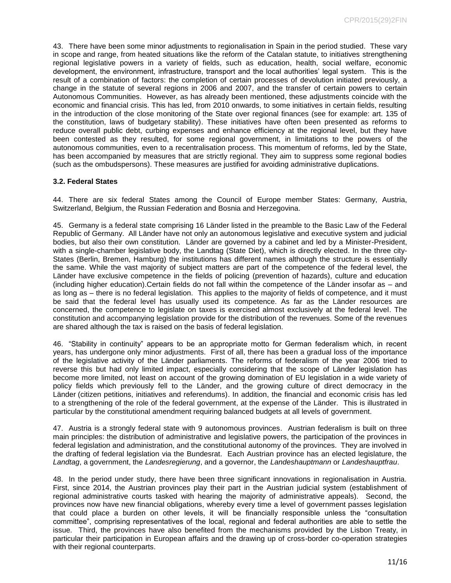43. There have been some minor adjustments to regionalisation in Spain in the period studied. These vary in scope and range, from heated situations like the reform of the Catalan statute, to initiatives strengthening regional legislative powers in a variety of fields, such as education, health, social welfare, economic development, the environment, infrastructure, transport and the local authorities' legal system. This is the result of a combination of factors: the completion of certain processes of devolution initiated previously, a change in the statute of several regions in 2006 and 2007, and the transfer of certain powers to certain Autonomous Communities. However, as has already been mentioned, these adjustments coincide with the economic and financial crisis. This has led, from 2010 onwards, to some initiatives in certain fields, resulting in the introduction of the close monitoring of the State over regional finances (see for example: art. 135 of the constitution, laws of budgetary stability). These initiatives have often been presented as reforms to reduce overall public debt, curbing expenses and enhance efficiency at the regional level, but they have been contested as they resulted, for some regional government, in limitations to the powers of the autonomous communities, even to a recentralisation process. This momentum of reforms, led by the State, has been accompanied by measures that are strictly regional. They aim to suppress some regional bodies (such as the ombudspersons). These measures are justified for avoiding administrative duplications.

#### <span id="page-10-0"></span>**3.2. Federal States**

44. There are six federal States among the Council of Europe member States: Germany, Austria, Switzerland, Belgium, the Russian Federation and Bosnia and Herzegovina.

45. Germany is a federal state comprising 16 Länder listed in the preamble to the Basic Law of the Federal Republic of Germany. All Länder have not only an autonomous legislative and executive system and judicial bodies, but also their own constitution. Länder are governed by a cabinet and led by a Minister-President, with a single-chamber legislative body, the Landtag (State Diet), which is directly elected. In the three city-States (Berlin, Bremen, Hamburg) the institutions has different names although the structure is essentially the same. While the vast majority of subject matters are part of the competence of the federal level, the Länder have exclusive competence in the fields of policing (prevention of hazards), culture and education (including higher education).Certain fields do not fall within the competence of the Länder insofar as – and as long as – there is no federal legislation. This applies to the majority of fields of competence, and it must be said that the federal level has usually used its competence. As far as the Länder resources are concerned, the competence to legislate on taxes is exercised almost exclusively at the federal level. The constitution and accompanying legislation provide for the distribution of the revenues. Some of the revenues are shared although the tax is raised on the basis of federal legislation.

46. "Stability in continuity" appears to be an appropriate motto for German federalism which, in recent years, has undergone only minor adjustments. First of all, there has been a gradual loss of the importance of the legislative activity of the Länder parliaments. The reforms of federalism of the year 2006 tried to reverse this but had only limited impact, especially considering that the scope of Länder legislation has become more limited, not least on account of the growing domination of EU legislation in a wide variety of policy fields which previously fell to the Länder, and the growing culture of direct democracy in the Länder (citizen petitions, initiatives and referendums). In addition, the financial and economic crisis has led to a strengthening of the role of the federal government, at the expense of the Länder. This is illustrated in particular by the constitutional amendment requiring balanced budgets at all levels of government.

47. Austria is a strongly federal state with 9 autonomous provinces. Austrian federalism is built on three main principles: the distribution of administrative and legislative powers, the participation of the provinces in federal legislation and administration, and the constitutional autonomy of the provinces. They are involved in the drafting of federal legislation via the Bundesrat. Each Austrian province has an elected legislature, the *Landtag*, a government, the *Landesregierung*, and a governor, the *Landeshauptmann* or *Landeshauptfrau*.

48. In the period under study, there have been three significant innovations in regionalisation in Austria. First, since 2014, the Austrian provinces play their part in the Austrian judicial system (establishment of regional administrative courts tasked with hearing the majority of administrative appeals). Second, the provinces now have new financial obligations, whereby every time a level of government passes legislation that could place a burden on other levels, it will be financially responsible unless the "consultation committee", comprising representatives of the local, regional and federal authorities are able to settle the issue. Third, the provinces have also benefited from the mechanisms provided by the Lisbon Treaty, in particular their participation in European affairs and the drawing up of cross-border co-operation strategies with their regional counterparts.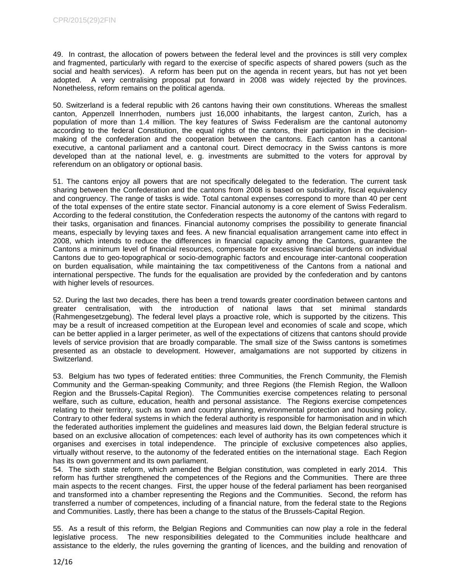49. In contrast, the allocation of powers between the federal level and the provinces is still very complex and fragmented, particularly with regard to the exercise of specific aspects of shared powers (such as the social and health services). A reform has been put on the agenda in recent years, but has not yet been adopted. A very centralising proposal put forward in 2008 was widely rejected by the provinces. Nonetheless, reform remains on the political agenda.

50. Switzerland is a federal republic with 26 cantons having their own constitutions. Whereas the smallest canton, Appenzell Innerrhoden, numbers just 16,000 inhabitants, the largest canton, Zurich, has a population of more than 1.4 million. The key features of Swiss Federalism are the cantonal autonomy according to the federal Constitution, the equal rights of the cantons, their participation in the decisionmaking of the confederation and the cooperation between the cantons. Each canton has a cantonal executive, a cantonal parliament and a cantonal court. Direct democracy in the Swiss cantons is more developed than at the national level, e. g. investments are submitted to the voters for approval by referendum on an obligatory or optional basis.

51. The cantons enjoy all powers that are not specifically delegated to the federation. The current task sharing between the Confederation and the cantons from 2008 is based on subsidiarity, fiscal equivalency and congruency. The range of tasks is wide. Total cantonal expenses correspond to more than 40 per cent of the total expenses of the entire state sector. Financial autonomy is a core element of Swiss Federalism. According to the federal constitution, the Confederation respects the autonomy of the cantons with regard to their tasks, organisation and finances. Financial autonomy comprises the possibility to generate financial means, especially by levying taxes and fees. A new financial equalisation arrangement came into effect in 2008, which intends to reduce the differences in financial capacity among the Cantons, guarantee the Cantons a minimum level of financial resources, compensate for excessive financial burdens on individual Cantons due to geo-topographical or socio-demographic factors and encourage inter-cantonal cooperation on burden equalisation, while maintaining the tax competitiveness of the Cantons from a national and international perspective. The funds for the equalisation are provided by the confederation and by cantons with higher levels of resources.

52. During the last two decades, there has been a trend towards greater coordination between cantons and greater centralisation, with the introduction of national laws that set minimal standards (Rahmengesetzgebung). The federal level plays a proactive role, which is supported by the citizens. This may be a result of increased competition at the European level and economies of scale and scope, which can be better applied in a larger perimeter, as well of the expectations of citizens that cantons should provide levels of service provision that are broadly comparable. The small size of the Swiss cantons is sometimes presented as an obstacle to development. However, amalgamations are not supported by citizens in Switzerland.

53. Belgium has two types of federated entities: three Communities, the French Community, the Flemish Community and the German-speaking Community; and three Regions (the Flemish Region, the Walloon Region and the Brussels-Capital Region). The Communities exercise competences relating to personal welfare, such as culture, education, health and personal assistance. The Regions exercise competences relating to their territory, such as town and country planning, environmental protection and housing policy. Contrary to other federal systems in which the federal authority is responsible for harmonisation and in which the federated authorities implement the guidelines and measures laid down, the Belgian federal structure is based on an exclusive allocation of competences: each level of authority has its own competences which it organises and exercises in total independence. The principle of exclusive competences also applies, virtually without reserve, to the autonomy of the federated entities on the international stage. Each Region has its own government and its own parliament.

54. The sixth state reform, which amended the Belgian constitution, was completed in early 2014. This reform has further strengthened the competences of the Regions and the Communities. There are three main aspects to the recent changes. First, the upper house of the federal parliament has been reorganised and transformed into a chamber representing the Regions and the Communities. Second, the reform has transferred a number of competences, including of a financial nature, from the federal state to the Regions and Communities. Lastly, there has been a change to the status of the Brussels-Capital Region.

55. As a result of this reform, the Belgian Regions and Communities can now play a role in the federal legislative process. The new responsibilities delegated to the Communities include healthcare and assistance to the elderly, the rules governing the granting of licences, and the building and renovation of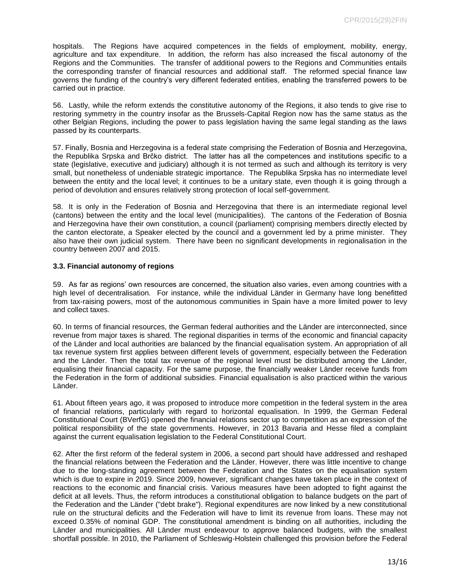hospitals. The Regions have acquired competences in the fields of employment, mobility, energy, agriculture and tax expenditure. In addition, the reform has also increased the fiscal autonomy of the Regions and the Communities. The transfer of additional powers to the Regions and Communities entails the corresponding transfer of financial resources and additional staff. The reformed special finance law governs the funding of the country's very different federated entities, enabling the transferred powers to be carried out in practice.

56. Lastly, while the reform extends the constitutive autonomy of the Regions, it also tends to give rise to restoring symmetry in the country insofar as the Brussels-Capital Region now has the same status as the other Belgian Regions, including the power to pass legislation having the same legal standing as the laws passed by its counterparts.

57. Finally, Bosnia and Herzegovina is a federal state comprising the Federation of Bosnia and Herzegovina, the Republika Srpska and Brčko district. The latter has all the competences and institutions specific to a state (legislative, executive and judiciary) although it is not termed as such and although its territory is very small, but nonetheless of undeniable strategic importance. The Republika Srpska has no intermediate level between the entity and the local level; it continues to be a unitary state, even though it is going through a period of devolution and ensures relatively strong protection of local self-government.

58. It is only in the Federation of Bosnia and Herzegovina that there is an intermediate regional level (cantons) between the entity and the local level (municipalities). The cantons of the Federation of Bosnia and Herzegovina have their own constitution, a council (parliament) comprising members directly elected by the canton electorate, a Speaker elected by the council and a government led by a prime minister. They also have their own judicial system. There have been no significant developments in regionalisation in the country between 2007 and 2015.

#### <span id="page-12-0"></span>**3.3. Financial autonomy of regions**

59. As far as regions' own resources are concerned, the situation also varies, even among countries with a high level of decentralisation. For instance, while the individual Länder in Germany have long benefitted from tax-raising powers, most of the autonomous communities in Spain have a more limited power to levy and collect taxes.

60. In terms of financial resources, the German federal authorities and the Länder are interconnected, since revenue from major taxes is shared. The regional disparities in terms of the economic and financial capacity of the Länder and local authorities are balanced by the financial equalisation system. An appropriation of all tax revenue system first applies between different levels of government, especially between the Federation and the Länder. Then the total tax revenue of the regional level must be distributed among the Länder, equalising their financial capacity. For the same purpose, the financially weaker Länder receive funds from the Federation in the form of additional subsidies. Financial equalisation is also practiced within the various Länder.

61. About fifteen years ago, it was proposed to introduce more competition in the federal system in the area of financial relations, particularly with regard to horizontal equalisation. In 1999, the German Federal Constitutional Court (BVerfG) opened the financial relations sector up to competition as an expression of the political responsibility of the state governments. However, in 2013 Bavaria and Hesse filed a complaint against the current equalisation legislation to the Federal Constitutional Court.

62. After the first reform of the federal system in 2006, a second part should have addressed and reshaped the financial relations between the Federation and the Länder. However, there was little incentive to change due to the long-standing agreement between the Federation and the States on the equalisation system which is due to expire in 2019. Since 2009, however, significant changes have taken place in the context of reactions to the economic and financial crisis. Various measures have been adopted to fight against the deficit at all levels. Thus, the reform introduces a constitutional obligation to balance budgets on the part of the Federation and the Länder ("debt brake"). Regional expenditures are now linked by a new constitutional rule on the structural deficits and the Federation will have to limit its revenue from loans. These may not exceed 0.35% of nominal GDP. The constitutional amendment is binding on all authorities, including the Länder and municipalities. All Länder must endeavour to approve balanced budgets, with the smallest shortfall possible. In 2010, the Parliament of Schleswig-Holstein challenged this provision before the Federal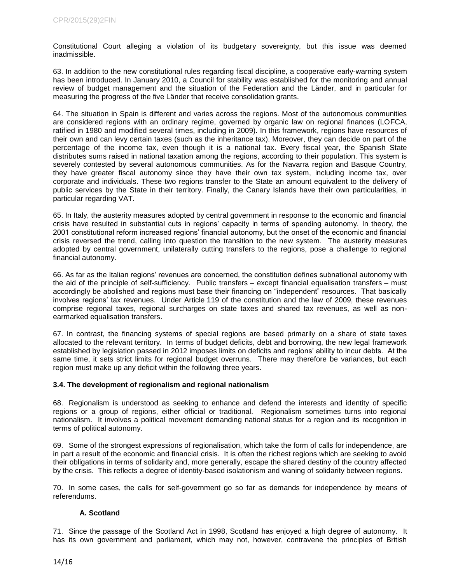Constitutional Court alleging a violation of its budgetary sovereignty, but this issue was deemed inadmissible.

63. In addition to the new constitutional rules regarding fiscal discipline, a cooperative early-warning system has been introduced. In January 2010, a Council for stability was established for the monitoring and annual review of budget management and the situation of the Federation and the Länder, and in particular for measuring the progress of the five Länder that receive consolidation grants.

64. The situation in Spain is different and varies across the regions. Most of the autonomous communities are considered regions with an ordinary regime, governed by organic law on regional finances (LOFCA, ratified in 1980 and modified several times, including in 2009). In this framework, regions have resources of their own and can levy certain taxes (such as the inheritance tax). Moreover, they can decide on part of the percentage of the income tax, even though it is a national tax. Every fiscal year, the Spanish State distributes sums raised in national taxation among the regions, according to their population. This system is severely contested by several autonomous communities. As for the Navarra region and Basque Country, they have greater fiscal autonomy since they have their own tax system, including income tax, over corporate and individuals. These two regions transfer to the State an amount equivalent to the delivery of public services by the State in their territory. Finally, the Canary Islands have their own particularities, in particular regarding VAT.

65. In Italy, the austerity measures adopted by central government in response to the economic and financial crisis have resulted in substantial cuts in regions' capacity in terms of spending autonomy. In theory, the 2001 constitutional reform increased regions' financial autonomy, but the onset of the economic and financial crisis reversed the trend, calling into question the transition to the new system. The austerity measures adopted by central government, unilaterally cutting transfers to the regions, pose a challenge to regional financial autonomy.

66. As far as the Italian regions' revenues are concerned, the constitution defines subnational autonomy with the aid of the principle of self-sufficiency. Public transfers – except financial equalisation transfers – must accordingly be abolished and regions must base their financing on "independent" resources. That basically involves regions' tax revenues. Under Article 119 of the constitution and the law of 2009, these revenues comprise regional taxes, regional surcharges on state taxes and shared tax revenues, as well as nonearmarked equalisation transfers.

67. In contrast, the financing systems of special regions are based primarily on a share of state taxes allocated to the relevant territory. In terms of budget deficits, debt and borrowing, the new legal framework established by legislation passed in 2012 imposes limits on deficits and regions' ability to incur debts. At the same time, it sets strict limits for regional budget overruns. There may therefore be variances, but each region must make up any deficit within the following three years.

#### <span id="page-13-0"></span>**3.4. The development of regionalism and regional nationalism**

68. Regionalism is understood as seeking to enhance and defend the interests and identity of specific regions or a group of regions, either official or traditional. Regionalism sometimes turns into regional nationalism. It involves a political movement demanding national status for a region and its recognition in terms of political autonomy.

69. Some of the strongest expressions of regionalisation, which take the form of calls for independence, are in part a result of the economic and financial crisis. It is often the richest regions which are seeking to avoid their obligations in terms of solidarity and, more generally, escape the shared destiny of the country affected by the crisis. This reflects a degree of identity-based isolationism and waning of solidarity between regions.

70. In some cases, the calls for self-government go so far as demands for independence by means of referendums.

#### <span id="page-13-1"></span>**A. Scotland**

71. Since the passage of the Scotland Act in 1998, Scotland has enjoyed a high degree of autonomy. It has its own government and parliament, which may not, however, contravene the principles of British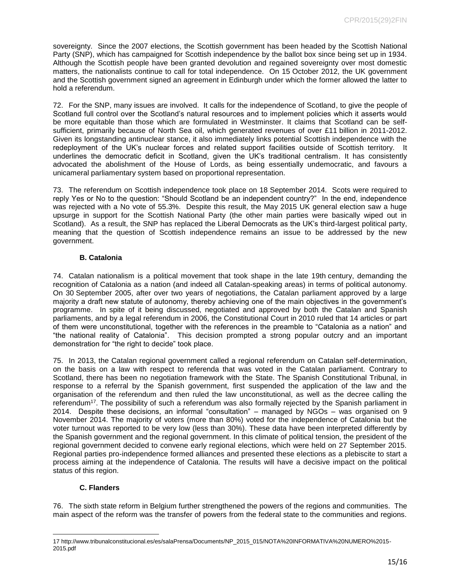sovereignty. Since the 2007 elections, the Scottish government has been headed by the Scottish National Party (SNP), which has campaigned for Scottish independence by the ballot box since being set up in 1934. Although the Scottish people have been granted devolution and regained sovereignty over most domestic matters, the nationalists continue to call for total independence. On 15 October 2012, the UK government and the Scottish government signed an agreement in Edinburgh under which the former allowed the latter to hold a referendum.

72. For the SNP, many issues are involved. It calls for the independence of Scotland, to give the people of Scotland full control over the Scotland's natural resources and to implement policies which it asserts would be more equitable than those which are formulated in Westminster. It claims that Scotland can be selfsufficient, primarily because of North Sea oil, which generated revenues of over £11 billion in 2011-2012. Given its longstanding antinuclear stance, it also immediately links potential Scottish independence with the redeployment of the UK's nuclear forces and related support facilities outside of Scottish territory. It underlines the democratic deficit in Scotland, given the UK's traditional centralism. It has consistently advocated the abolishment of the House of Lords, as being essentially undemocratic, and favours a unicameral parliamentary system based on proportional representation.

73. The referendum on Scottish independence took place on 18 September 2014. Scots were required to reply Yes or No to the question: "Should Scotland be an independent country?" In the end, independence was rejected with a No vote of 55.3%. Despite this result, the May 2015 UK general election saw a huge upsurge in support for the Scottish National Party (the other main parties were basically wiped out in Scotland). As a result, the SNP has replaced the Liberal Democrats as the UK's third-largest political party, meaning that the question of Scottish independence remains an issue to be addressed by the new government.

## <span id="page-14-0"></span>**B. Catalonia**

74. Catalan nationalism is a political movement that took shape in the late 19th century, demanding the recognition of Catalonia as a nation (and indeed all Catalan-speaking areas) in terms of political autonomy. On 30 September 2005, after over two years of negotiations, the Catalan parliament approved by a large majority a draft new statute of autonomy, thereby achieving one of the main objectives in the government's programme. In spite of it being discussed, negotiated and approved by both the Catalan and Spanish parliaments, and by a legal referendum in 2006, the Constitutional Court in 2010 ruled that 14 articles or part of them were unconstitutional, together with the references in the preamble to "Catalonia as a nation" and "the national reality of Catalonia". This decision prompted a strong popular outcry and an important demonstration for "the right to decide" took place.

75. In 2013, the Catalan regional government called a regional referendum on Catalan self-determination, on the basis on a law with respect to referenda that was voted in the Catalan parliament. Contrary to Scotland, there has been no negotiation framework with the State. The Spanish Constitutional Tribunal, in response to a referral by the Spanish government, first suspended the application of the law and the organisation of the referendum and then ruled the law unconstitutional, as well as the decree calling the referendum<sup>17</sup>. The possibility of such a referendum was also formally rejected by the Spanish parliament in 2014. Despite these decisions, an informal "consultation" – managed by NGOs – was organised on 9 November 2014. The majority of voters (more than 80%) voted for the independence of Catalonia but the voter turnout was reported to be very low (less than 30%). These data have been interpreted differently by the Spanish government and the regional government. In this climate of political tension, the president of the regional government decided to convene early regional elections, which were held on 27 September 2015. Regional parties pro-independence formed alliances and presented these elections as a plebiscite to start a process aiming at the independence of Catalonia. The results will have a decisive impact on the political status of this region.

## <span id="page-14-1"></span>**C. Flanders**

 $\overline{\phantom{a}}$ 

76. The sixth state reform in Belgium further strengthened the powers of the regions and communities. The main aspect of the reform was the transfer of powers from the federal state to the communities and regions.

<sup>17</sup> http://www.tribunalconstitucional.es/es/salaPrensa/Documents/NP\_2015\_015/NOTA%20INFORMATIVA%20NUMERO%2015- 2015.pdf